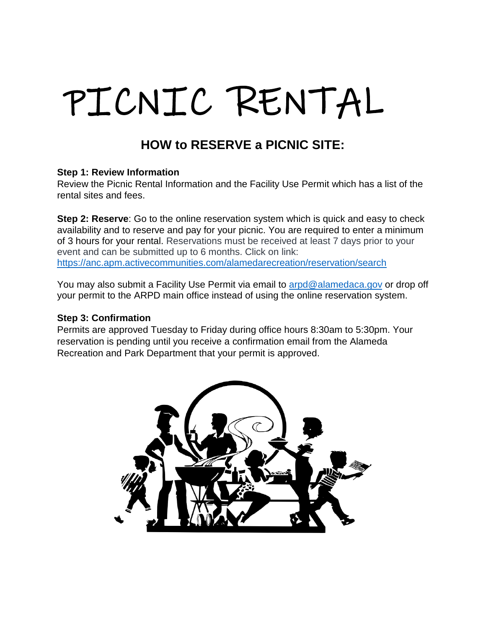# PICNIC RENTAL

# **HOW to RESERVE a PICNIC SITE:**

#### **Step 1: Review Information**

Review the Picnic Rental Information and the Facility Use Permit which has a list of the rental sites and fees.

**Step 2: Reserve:** Go to the online reservation system which is quick and easy to check availability and to reserve and pay for your picnic. You are required to enter a minimum of 3 hours for your rental. Reservations must be received at least 7 days prior to your event and can be submitted up to 6 months. Click on link: https://anc.apm.activecommunities.com/alamedarecreation/reservation/search

You may also submit a Facility Use Permit via email to [arpd@alamedaca.gov](mailto:arpd@alamedaca.gov) or drop off your permit to the ARPD main office instead of using the online reservation system.

#### **Step 3: Confirmation**

Permits are approved Tuesday to Friday during office hours 8:30am to 5:30pm. Your reservation is pending until you receive a confirmation email from the Alameda Recreation and Park Department that your permit is approved.

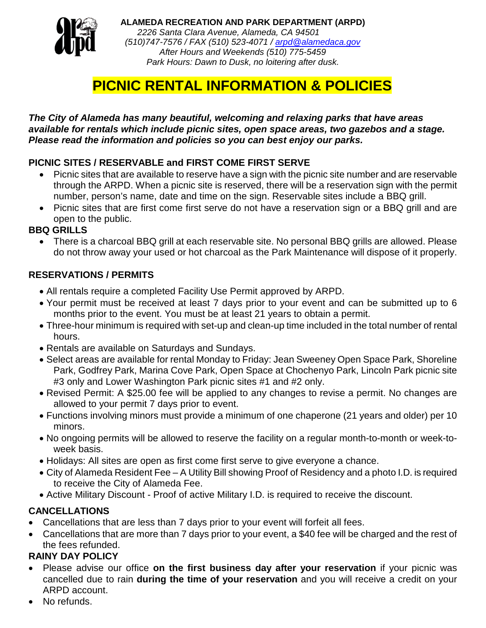

**ALAMEDA RECREATION AND PARK DEPARTMENT (ARPD)** *2226 Santa Clara Avenue, Alameda, CA 94501 (510)747-7576 / FAX (510) 523-4071 / [arpd@alamedaca.gov](mailto:arpd@alamedaca.gov) After Hours and Weekends (510) 775-5459 Park Hours: Dawn to Dusk, no loitering after dusk.*

# **PICNIC RENTAL INFORMATION & POLICIES**

#### *The City of Alameda has many beautiful, welcoming and relaxing parks that have areas available for rentals which include picnic sites, open space areas, two gazebos and a stage. Please read the information and policies so you can best enjoy our parks.*

## **PICNIC SITES / RESERVABLE and FIRST COME FIRST SERVE**

- Picnic sites that are available to reserve have a sign with the picnic site number and are reservable through the ARPD. When a picnic site is reserved, there will be a reservation sign with the permit number, person's name, date and time on the sign. Reservable sites include a BBQ grill.
- Picnic sites that are first come first serve do not have a reservation sign or a BBQ grill and are open to the public.

#### **BBQ GRILLS**

• There is a charcoal BBQ grill at each reservable site. No personal BBQ grills are allowed. Please do not throw away your used or hot charcoal as the Park Maintenance will dispose of it properly.

#### **RESERVATIONS / PERMITS**

- All rentals require a completed Facility Use Permit approved by ARPD.
- Your permit must be received at least 7 days prior to your event and can be submitted up to 6 months prior to the event. You must be at least 21 years to obtain a permit.
- Three-hour minimum is required with set-up and clean-up time included in the total number of rental hours.
- Rentals are available on Saturdays and Sundays.
- Select areas are available for rental Monday to Friday: Jean Sweeney Open Space Park, Shoreline Park, Godfrey Park, Marina Cove Park, Open Space at Chochenyo Park, Lincoln Park picnic site #3 only and Lower Washington Park picnic sites #1 and #2 only.
- Revised Permit: A \$25.00 fee will be applied to any changes to revise a permit. No changes are allowed to your permit 7 days prior to event.
- Functions involving minors must provide a minimum of one chaperone (21 years and older) per 10 minors.
- No ongoing permits will be allowed to reserve the facility on a regular month-to-month or week-toweek basis.
- Holidays: All sites are open as first come first serve to give everyone a chance.
- City of Alameda Resident Fee A Utility Bill showing Proof of Residency and a photo I.D. is required to receive the City of Alameda Fee.
- Active Military Discount Proof of active Military I.D. is required to receive the discount.

## **CANCELLATIONS**

- Cancellations that are less than 7 days prior to your event will forfeit all fees.
- Cancellations that are more than 7 days prior to your event, a \$40 fee will be charged and the rest of the fees refunded.

## **RAINY DAY POLICY**

- Please advise our office **on the first business day after your reservation** if your picnic was cancelled due to rain **during the time of your reservation** and you will receive a credit on your ARPD account.
- No refunds.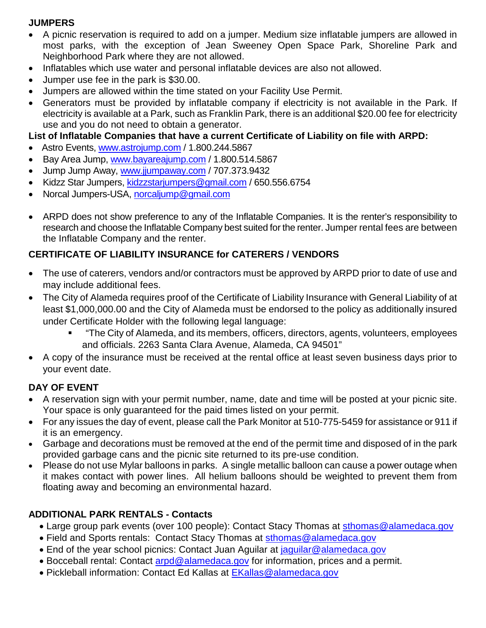#### **JUMPERS**

- A picnic reservation is required to add on a jumper. Medium size inflatable jumpers are allowed in most parks, with the exception of Jean Sweeney Open Space Park, Shoreline Park and Neighborhood Park where they are not allowed.
- Inflatables which use water and personal inflatable devices are also not allowed.
- Jumper use fee in the park is \$30.00.
- Jumpers are allowed within the time stated on your Facility Use Permit.
- Generators must be provided by inflatable company if electricity is not available in the Park. If electricity is available at a Park, such as Franklin Park, there is an additional \$20.00 fee for electricity use and you do not need to obtain a generator.

#### **List of Inflatable Companies that have a current Certificate of Liability on file with ARPD:**

- Astro Events, [www.astrojump.com](http://www.astrojump.com/) / 1.800.244.5867
- Bay Area Jump, [www.bayareajump.com](http://www.bayareajump.com/) / 1.800.514.5867
- Jump Jump Away, [www.jjumpaway.com](http://www.jjumpaway.com/) / 707.373.9432
- Kidzz Star Jumpers, [kidzzstarjumpers@gmail.com](mailto:kidzzstarjumpers@gmail.com) / 650.556.6754
- Norcal Jumpers-USA, [norcaljump@gmail.com](mailto:norcaljump@gmail.com)
- ARPD does not show preference to any of the Inflatable Companies. It is the renter's responsibility to research and choose the Inflatable Company best suited for the renter. Jumper rental fees are between the Inflatable Company and the renter.

#### **CERTIFICATE OF LIABILITY INSURANCE for CATERERS / VENDORS**

- The use of caterers, vendors and/or contractors must be approved by ARPD prior to date of use and may include additional fees.
- The City of Alameda requires proof of the Certificate of Liability Insurance with General Liability of at least \$1,000,000.00 and the City of Alameda must be endorsed to the policy as additionally insured under Certificate Holder with the following legal language:
	- "The City of Alameda, and its members, officers, directors, agents, volunteers, employees and officials. 2263 Santa Clara Avenue, Alameda, CA 94501"
- A copy of the insurance must be received at the rental office at least seven business days prior to your event date.

#### **DAY OF EVENT**

- A reservation sign with your permit number, name, date and time will be posted at your picnic site. Your space is only guaranteed for the paid times listed on your permit.
- For any issues the day of event, please call the Park Monitor at 510-775-5459 for assistance or 911 if it is an emergency.
- Garbage and decorations must be removed at the end of the permit time and disposed of in the park provided garbage cans and the picnic site returned to its pre-use condition.
- Please do not use Mylar balloons in parks. A single metallic balloon can cause a power outage when it makes contact with power lines. All helium balloons should be weighted to prevent them from floating away and becoming an environmental hazard.

#### **ADDITIONAL PARK RENTALS - Contacts**

- Large group park events (over 100 people): Contact Stacy Thomas at [sthomas@alamedaca.gov](mailto:sthomas@alamedaca.gov)
- Field and Sports rentals: Contact Stacy Thomas at [sthomas@alamedaca.gov](mailto:sthomas@alamedaca.gov)
- End of the year school picnics: Contact Juan Aguilar at [jaguilar@alamedaca.gov](mailto:jaguilar@alamedaca.gov)
- Bocceball rental: Contact [arpd@alamedaca.gov](mailto:arpd@alamedaca.gov) for information, prices and a permit.
- Pickleball information: Contact Ed Kallas at [EKallas@alamedaca.gov](mailto:EKallas@alamedaca.gov)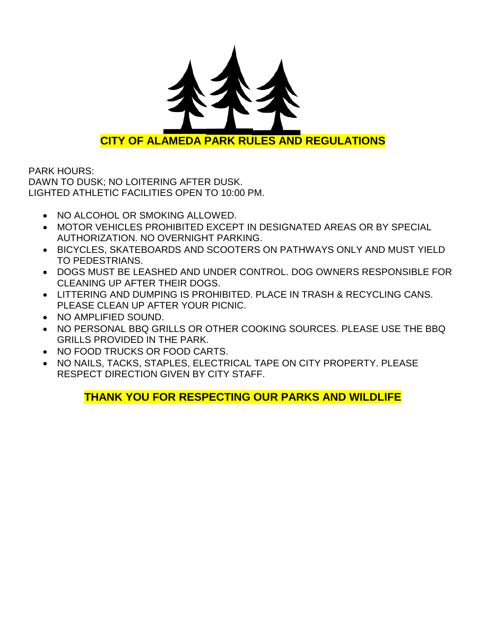

PARK HOURS: DAWN TO DUSK; NO LOITERING AFTER DUSK. LIGHTED ATHLETIC FACILITIES OPEN TO 10:00 PM.

- NO ALCOHOL OR SMOKING ALLOWED.
- MOTOR VEHICLES PROHIBITED EXCEPT IN DESIGNATED AREAS OR BY SPECIAL AUTHORIZATION. NO OVERNIGHT PARKING.
- BICYCLES, SKATEBOARDS AND SCOOTERS ON PATHWAYS ONLY AND MUST YIELD TO PEDESTRIANS.
- DOGS MUST BE LEASHED AND UNDER CONTROL. DOG OWNERS RESPONSIBLE FOR CLEANING UP AFTER THEIR DOGS.
- LITTERING AND DUMPING IS PROHIBITED. PLACE IN TRASH & RECYCLING CANS. PLEASE CLEAN UP AFTER YOUR PICNIC.
- NO AMPLIFIED SOUND.
- NO PERSONAL BBQ GRILLS OR OTHER COOKING SOURCES. PLEASE USE THE BBQ GRILLS PROVIDED IN THE PARK.
- NO FOOD TRUCKS OR FOOD CARTS.
- NO NAILS, TACKS, STAPLES, ELECTRICAL TAPE ON CITY PROPERTY. PLEASE RESPECT DIRECTION GIVEN BY CITY STAFF.

# **THANK YOU FOR RESPECTING OUR PARKS AND WILDLIFE**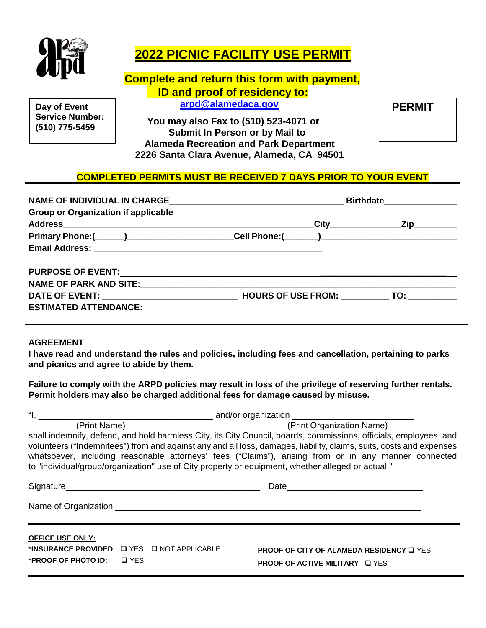

# **2022 PICNIC FACILITY USE PERMIT**

# **Complete and return this form with payment, ID and proof of residency to:**

**Service Number: (510) 775-5459**

**Day of Event Construction Construction Construction Construction Construction Construction PERMIT** 

 **You may also Fax to (510) 523-4071 or Submit In Person or by Mail to Alameda Recreation and Park Department 2226 Santa Clara Avenue, Alameda, CA 94501**

#### **COMPLETED PERMITS MUST BE RECEIVED 7 DAYS PRIOR TO YOUR EVENT**

|                                               | Birthdate________________ |                                    |  |
|-----------------------------------------------|---------------------------|------------------------------------|--|
|                                               |                           |                                    |  |
|                                               |                           | _City_________________Zip_________ |  |
|                                               |                           |                                    |  |
|                                               |                           |                                    |  |
|                                               |                           |                                    |  |
| NAME OF PARK AND SITE: NAME OF PARK AND SITE: |                           |                                    |  |
|                                               |                           |                                    |  |
| <b>ESTIMATED ATTENDANCE:</b>                  |                           |                                    |  |

#### **AGREEMENT**

**I have read and understand the rules and policies, including fees and cancellation, pertaining to parks and picnics and agree to abide by them.**

**Failure to comply with the ARPD policies may result in loss of the privilege of reserving further rentals. Permit holders may also be charged additional fees for damage caused by misuse.**

| (Print Name)                                                                                                                                                                                                                   | (Print Organization Name)                                                                                                                                                                                                                                                                                                                        |
|--------------------------------------------------------------------------------------------------------------------------------------------------------------------------------------------------------------------------------|--------------------------------------------------------------------------------------------------------------------------------------------------------------------------------------------------------------------------------------------------------------------------------------------------------------------------------------------------|
| to "individual/group/organization" use of City property or equipment, whether alleged or actual."                                                                                                                              | shall indemnify, defend, and hold harmless City, its City Council, boards, commissions, officials, employees, and<br>volunteers ("Indemnitees") from and against any and all loss, damages, liability, claims, suits, costs and expenses<br>whatsoever, including reasonable attorneys' fees ("Claims"), arising from or in any manner connected |
| Signature Signature Signature Contract of the Signature Contract of the Signature Contract of the Signature Contract of the Signature Contract of the Signature Contract of the Signature Contract of the Signature Contract o |                                                                                                                                                                                                                                                                                                                                                  |
|                                                                                                                                                                                                                                |                                                                                                                                                                                                                                                                                                                                                  |
| <b>OFFICE USE ONLY:</b>                                                                                                                                                                                                        |                                                                                                                                                                                                                                                                                                                                                  |
| *INSURANCE PROVIDED: Q YES Q NOT APPLICABLE                                                                                                                                                                                    | <b>PROOF OF CITY OF ALAMEDA RESIDENCY OF YES</b>                                                                                                                                                                                                                                                                                                 |
| <b>*PROOF OF PHOTO ID:</b> $\Box$ YES                                                                                                                                                                                          | <b>PROOF OF ACTIVE MILITARY OF YES</b>                                                                                                                                                                                                                                                                                                           |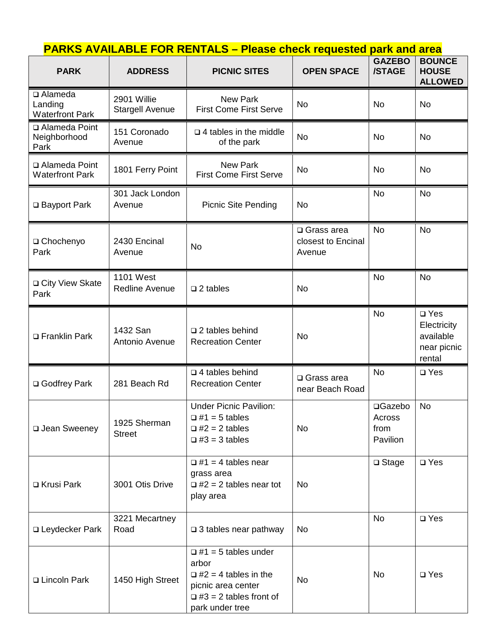| <b>PARK</b>                                            | <b>ADDRESS</b>                            | <b>PICNIC SITES</b>                                                                                   | <b>OPEN SPACE</b>                                    | <b>GAZEBO</b><br>/STAGE               | <b>BOUNCE</b><br><b>HOUSE</b><br><b>ALLOWED</b>                    |
|--------------------------------------------------------|-------------------------------------------|-------------------------------------------------------------------------------------------------------|------------------------------------------------------|---------------------------------------|--------------------------------------------------------------------|
| $\square$ Alameda<br>Landing<br><b>Waterfront Park</b> | 2901 Willie<br><b>Stargell Avenue</b>     | <b>New Park</b><br><b>First Come First Serve</b>                                                      | <b>No</b>                                            | <b>No</b>                             | <b>No</b>                                                          |
| □ Alameda Point<br>Neighborhood<br>Park                | 151 Coronado<br>Avenue                    | $\Box$ 4 tables in the middle<br>of the park                                                          | <b>No</b>                                            | <b>No</b>                             | <b>No</b>                                                          |
| □ Alameda Point<br><b>Waterfront Park</b>              | 1801 Ferry Point                          | <b>New Park</b><br><b>First Come First Serve</b>                                                      | No                                                   | <b>No</b>                             | <b>No</b>                                                          |
| □ Bayport Park                                         | 301 Jack London<br>Avenue                 | <b>Picnic Site Pending</b>                                                                            | <b>No</b>                                            | <b>No</b>                             | <b>No</b>                                                          |
| □ Chochenyo<br>Park                                    | 2430 Encinal<br>Avenue                    | No                                                                                                    | $\square$ Grass area<br>closest to Encinal<br>Avenue | <b>No</b>                             | <b>No</b>                                                          |
| □ City View Skate<br>Park                              | <b>1101 West</b><br><b>Redline Avenue</b> | $\square$ 2 tables                                                                                    | <b>No</b>                                            | <b>No</b>                             | <b>No</b>                                                          |
| □ Franklin Park                                        | 1432 San<br>Antonio Avenue                | $\square$ 2 tables behind<br><b>Recreation Center</b>                                                 | <b>No</b>                                            | <b>No</b>                             | $\square$ Yes<br>Electricity<br>available<br>near picnic<br>rental |
| □ Godfrey Park                                         | 281 Beach Rd                              | $\Box$ 4 tables behind<br><b>Recreation Center</b>                                                    | $\square$ Grass area<br>near Beach Road              | <b>No</b>                             | $\square$ Yes                                                      |
| □ Jean Sweeney                                         | 1925 Sherman<br><b>Street</b>             | <b>Under Picnic Pavilion:</b><br>$\Box$ #1 = 5 tables<br>$\Box$ #2 = 2 tables<br>$\Box$ #3 = 3 tables | No                                                   | □Gazebo<br>Across<br>from<br>Pavilion | <b>No</b>                                                          |
| □ Krusi Park                                           | 3001 Otis Drive                           | $\Box$ #1 = 4 tables near<br>grass area<br>$\Box$ #2 = 2 tables near tot<br>play area                 | No                                                   | $\square$ Stage                       | $\square$ Yes                                                      |
| □ Leydecker Park                                       | 3221 Mecartney<br>Road                    | $\Box$ 3 tables near pathway                                                                          | No                                                   | <b>No</b>                             | $\square$ Yes                                                      |
|                                                        |                                           | $\Box$ #1 = 5 tables under<br>arbor                                                                   |                                                      |                                       |                                                                    |

 $\Box$  #2 = 4 tables in the picnic area center  $\Box$  #3 = 2 tables front of

No │ <sup>No</sup> │ <sup>∆</sup> Yes

park under tree

□ Lincoln Park | 1450 High Street

**PARKS AVAILABLE FOR RENTALS – Please check requested park and area**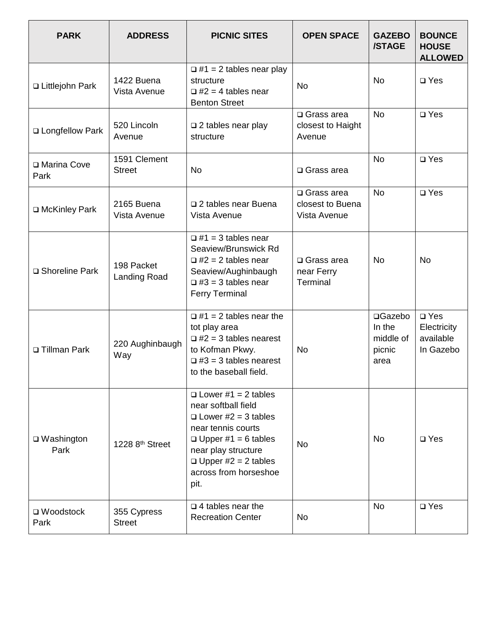| <b>PARK</b>                 | <b>ADDRESS</b>                    | <b>PICNIC SITES</b>                                                                                                                                                                                                       | <b>OPEN SPACE</b>                                        | <b>GAZEBO</b><br>/STAGE                          | <b>BOUNCE</b><br><b>HOUSE</b><br><b>ALLOWED</b>        |
|-----------------------------|-----------------------------------|---------------------------------------------------------------------------------------------------------------------------------------------------------------------------------------------------------------------------|----------------------------------------------------------|--------------------------------------------------|--------------------------------------------------------|
| □ Littlejohn Park           | 1422 Buena<br>Vista Avenue        | $\Box$ #1 = 2 tables near play<br>structure<br>$\Box$ #2 = 4 tables near<br><b>Benton Street</b>                                                                                                                          | <b>No</b>                                                | <b>No</b>                                        | $\square$ Yes                                          |
| □ Longfellow Park           | 520 Lincoln<br>Avenue             | $\square$ 2 tables near play<br>structure                                                                                                                                                                                 | $\square$ Grass area<br>closest to Haight<br>Avenue      | <b>No</b>                                        | $\square$ Yes                                          |
| □ Marina Cove<br>Park       | 1591 Clement<br><b>Street</b>     | No                                                                                                                                                                                                                        | $\square$ Grass area                                     | <b>No</b>                                        | $\square$ Yes                                          |
| □ McKinley Park             | 2165 Buena<br>Vista Avenue        | □ 2 tables near Buena<br>Vista Avenue                                                                                                                                                                                     | $\square$ Grass area<br>closest to Buena<br>Vista Avenue | <b>No</b>                                        | $\square$ Yes                                          |
| □ Shoreline Park            | 198 Packet<br><b>Landing Road</b> | $\Box$ #1 = 3 tables near<br>Seaview/Brunswick Rd<br>$\Box$ #2 = 2 tables near<br>Seaview/Aughinbaugh<br>$\Box$ #3 = 3 tables near<br><b>Ferry Terminal</b>                                                               | $\square$ Grass area<br>near Ferry<br>Terminal           | <b>No</b>                                        | <b>No</b>                                              |
| □ Tillman Park              | 220 Aughinbaugh<br>Way            | $\Box$ #1 = 2 tables near the<br>tot play area<br>$\Box$ #2 = 3 tables nearest<br>to Kofman Pkwy.<br>$\Box$ #3 = 3 tables nearest<br>to the baseball field.                                                               | <b>No</b>                                                | □Gazebo<br>In the<br>middle of<br>picnic<br>area | $\square$ Yes<br>Electricity<br>available<br>In Gazebo |
| □ Washington<br>Park        | 1228 8 <sup>th</sup> Street       | $\Box$ Lower #1 = 2 tables<br>near softball field<br>$\Box$ Lower #2 = 3 tables<br>near tennis courts<br>$\Box$ Upper #1 = 6 tables<br>near play structure<br>$\Box$ Upper #2 = 2 tables<br>across from horseshoe<br>pit. | <b>No</b>                                                | <b>No</b>                                        | $\square$ Yes                                          |
| $\square$ Woodstock<br>Park | 355 Cypress<br><b>Street</b>      | $\Box$ 4 tables near the<br><b>Recreation Center</b>                                                                                                                                                                      | <b>No</b>                                                | <b>No</b>                                        | $\square$ Yes                                          |